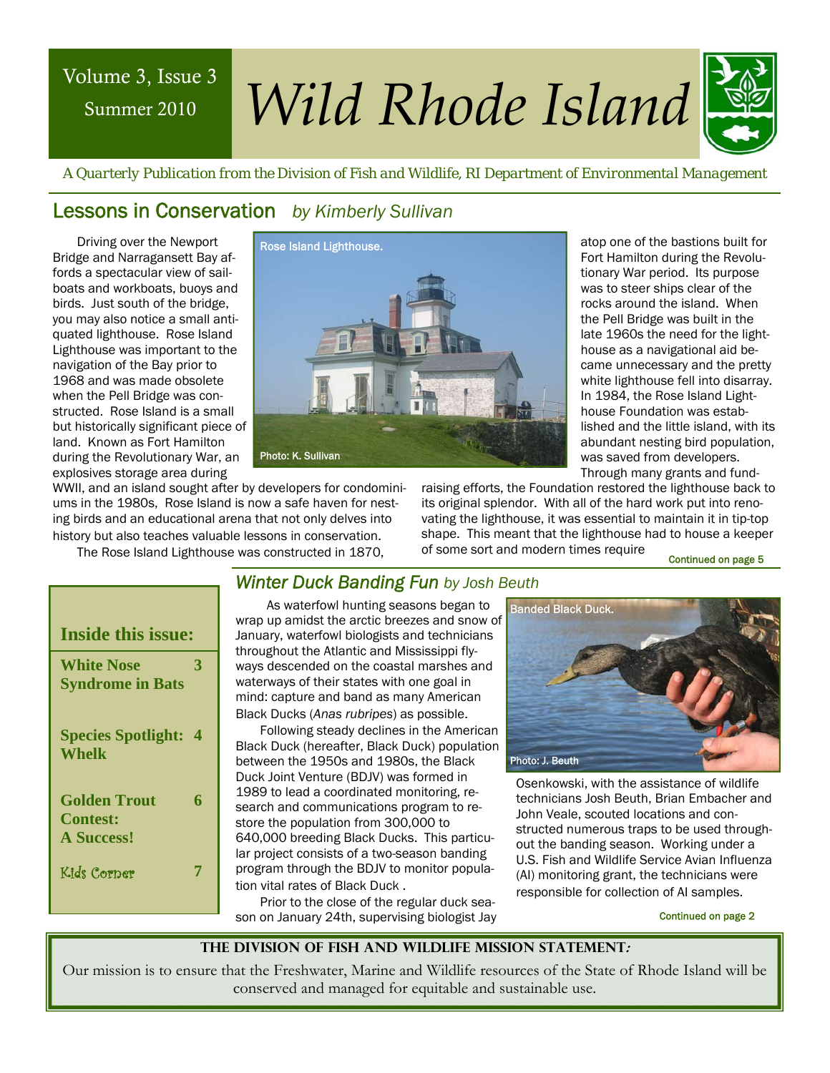## Summer 2010

# Volume 3, Issue 3 *Wild Rhode Island*



 *A Quarterly Publication from the Division of Fish and Wildlife, RI Department of Environmental Management* 

#### Lessons in Conservation *by Kimberly Sullivan*

Driving over the Newport Bridge and Narragansett Bay affords a spectacular view of sailboats and workboats, buoys and birds. Just south of the bridge, you may also notice a small antiquated lighthouse. Rose Island Lighthouse was important to the navigation of the Bay prior to 1968 and was made obsolete when the Pell Bridge was constructed. Rose Island is a small but historically significant piece of land. Known as Fort Hamilton during the Revolutionary War, an explosives storage area during



atop one of the bastions built for Fort Hamilton during the Revolutionary War period. Its purpose was to steer ships clear of the rocks around the island. When the Pell Bridge was built in the late 1960s the need for the lighthouse as a navigational aid became unnecessary and the pretty white lighthouse fell into disarray. In 1984, the Rose Island Lighthouse Foundation was established and the little island, with its abundant nesting bird population, was saved from developers. Through many grants and fund-

WWII, and an island sought after by developers for condominiums in the 1980s, Rose Island is now a safe haven for nesting birds and an educational arena that not only delves into history but also teaches valuable lessons in conservation.

The Rose Island Lighthouse was constructed in 1870,

raising efforts, the Foundation restored the lighthouse back to its original splendor. With all of the hard work put into renovating the lighthouse, it was essential to maintain it in tip-top shape. This meant that the lighthouse had to house a keeper of some sort and modern times require

Continued on page 5

| <b>Inside this issue:</b>                            |                  |
|------------------------------------------------------|------------------|
| <b>White Nose</b><br><b>Syndrome in Bats</b>         | 3                |
| <b>Species Spotlight:</b><br><b>Whelk</b>            | $\boldsymbol{4}$ |
| Golden Trout<br><b>Contest:</b><br><b>A Success!</b> | 6                |
| Kids Corper                                          |                  |

#### *Winter Duck Banding Fun by Josh Beuth*

 As waterfowl hunting seasons began to wrap up amidst the arctic breezes and snow of January, waterfowl biologists and technicians throughout the Atlantic and Mississippi flyways descended on the coastal marshes and waterways of their states with one goal in mind: capture and band as many American Black Ducks (*Anas rubripes*) as possible.

Following steady declines in the American Black Duck (hereafter, Black Duck) population between the 1950s and 1980s, the Black Duck Joint Venture (BDJV) was formed in 1989 to lead a coordinated monitoring, research and communications program to restore the population from 300,000 to 640,000 breeding Black Ducks. This particular project consists of a two-season banding program through the BDJV to monitor population vital rates of Black Duck .

Prior to the close of the regular duck season on January 24th, supervising biologist Jay



Osenkowski, with the assistance of wildlife technicians Josh Beuth, Brian Embacher and John Veale, scouted locations and constructed numerous traps to be used throughout the banding season. Working under a U.S. Fish and Wildlife Service Avian Influenza (AI) monitoring grant, the technicians were responsible for collection of AI samples.

Continued on page 2

#### **The Division of Fish and Wildlife Mission Statement:**

Our mission is to ensure that the Freshwater, Marine and Wildlife resources of the State of Rhode Island will be conserved and managed for equitable and sustainable use.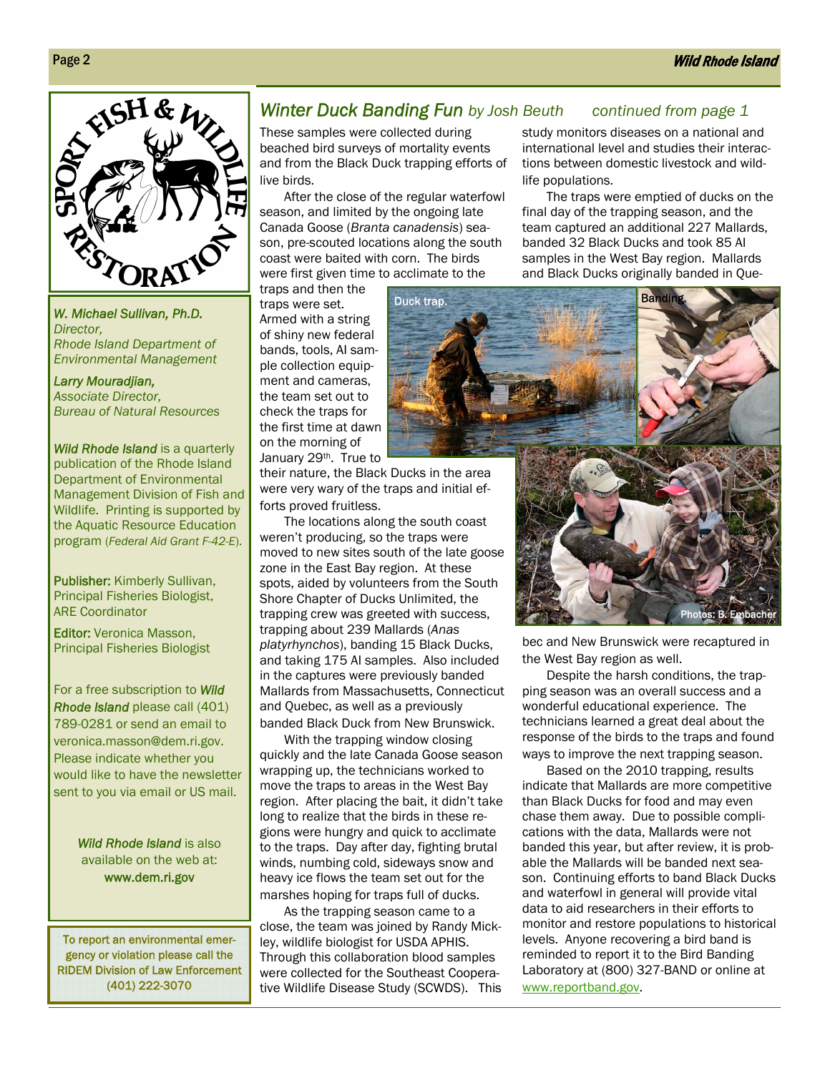

*W. Michael Sullivan, Ph.D. Director, Rhode Island Department of Environmental Management* 

*Larry Mouradjian, Associate Director, Bureau of Natural Resources* 

*Wild Rhode Island* is a quarterly publication of the Rhode Island Department of Environmental Management Division of Fish and Wildlife. Printing is supported by the Aquatic Resource Education program (*Federal Aid Grant F-42-E*).

alter the landscape, and Publisher: Kimberly Sullivan, Principal Fisheries Biologist, ARE Coordinator

Editor: Veronica Masson, Principal Fisheries Biologist

For a free subscription to *Wild Rhode Island* please call (401) 789-0281 or send an email to veronica.masson@dem.ri.gov. Please indicate whether you would like to have the newsletter sent to you via email or US mail.

> *Wild Rhode Island* is also available on the web at: www.dem.ri.gov

To report an environmental emergency or violation please call the RIDEM Division of Law Enforcement (401) 222-3070

#### *Winter Duck Banding Fun by Josh Beuth continued from page 1*

These samples were collected during beached bird surveys of mortality events and from the Black Duck trapping efforts of live birds.

After the close of the regular waterfowl season, and limited by the ongoing late Canada Goose (*Branta canadensis*) season, pre-scouted locations along the south coast were baited with corn. The birds were first given time to acclimate to the

traps and then the traps were set. Armed with a string of shiny new federal bands, tools, AI sample collection equipment and cameras, the team set out to check the traps for the first time at dawn on the morning of January 29<sup>th</sup>. True to

Duck trap. The state of the state of the Banding

life populations.

their nature, the Black Ducks in the area were very wary of the traps and initial efforts proved fruitless.

The locations along the south coast weren't producing, so the traps were moved to new sites south of the late goose zone in the East Bay region. At these spots, aided by volunteers from the South Shore Chapter of Ducks Unlimited, the trapping crew was greeted with success, trapping about 239 Mallards (*Anas platyrhynchos*), banding 15 Black Ducks, and taking 175 AI samples. Also included in the captures were previously banded Mallards from Massachusetts, Connecticut and Quebec, as well as a previously banded Black Duck from New Brunswick.

With the trapping window closing quickly and the late Canada Goose season wrapping up, the technicians worked to move the traps to areas in the West Bay region. After placing the bait, it didn't take long to realize that the birds in these regions were hungry and quick to acclimate to the traps. Day after day, fighting brutal winds, numbing cold, sideways snow and heavy ice flows the team set out for the marshes hoping for traps full of ducks.

As the trapping season came to a close, the team was joined by Randy Mickley, wildlife biologist for USDA APHIS. Through this collaboration blood samples were collected for the Southeast Cooperative Wildlife Disease Study (SCWDS). This



study monitors diseases on a national and international level and studies their interactions between domestic livestock and wild-

final day of the trapping season, and the team captured an additional 227 Mallards, banded 32 Black Ducks and took 85 AI samples in the West Bay region. Mallards and Black Ducks originally banded in Que-

The traps were emptied of ducks on the

bec and New Brunswick were recaptured in the West Bay region as well.

Despite the harsh conditions, the trapping season was an overall success and a wonderful educational experience. The technicians learned a great deal about the response of the birds to the traps and found ways to improve the next trapping season.

Based on the 2010 trapping, results indicate that Mallards are more competitive than Black Ducks for food and may even chase them away. Due to possible complications with the data, Mallards were not banded this year, but after review, it is probable the Mallards will be banded next season. Continuing efforts to band Black Ducks and waterfowl in general will provide vital data to aid researchers in their efforts to monitor and restore populations to historical levels. Anyone recovering a bird band is reminded to report it to the Bird Banding Laboratory at (800) 327-BAND or online at www.reportband.gov.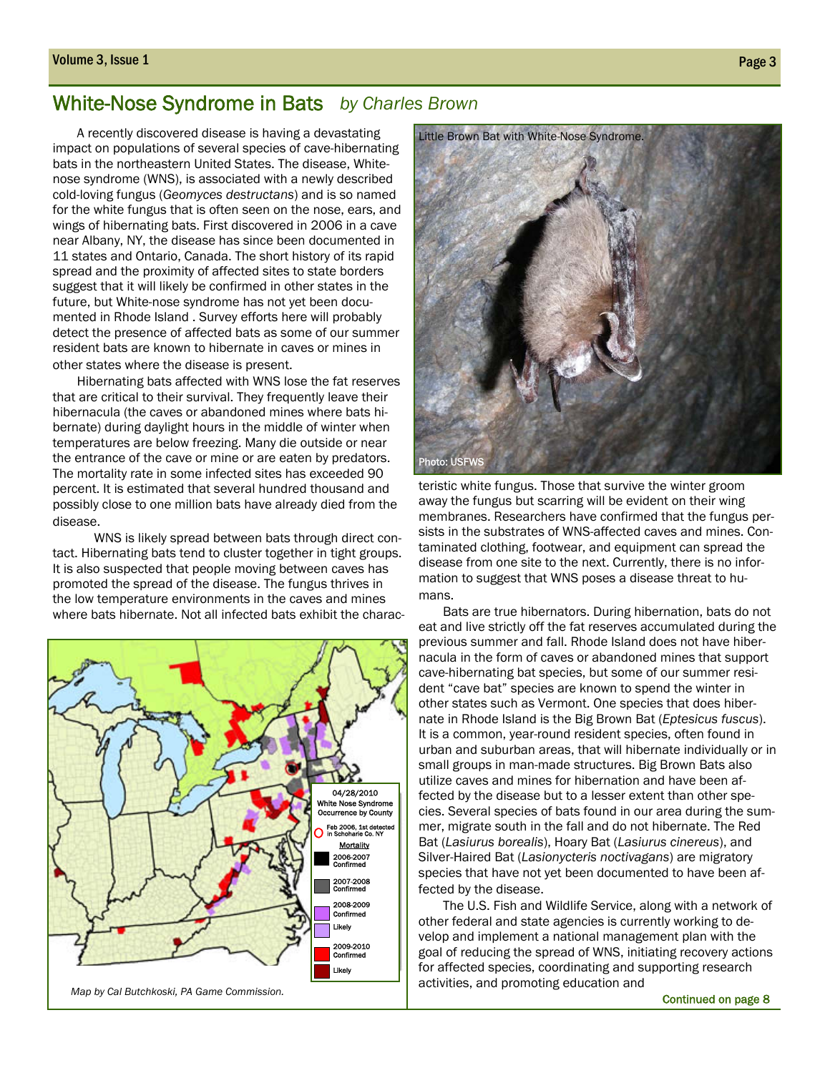#### White-Nose Syndrome in Bats *by Charles Brown*

A recently discovered disease is having a devastating impact on populations of several species of cave-hibernating bats in the northeastern United States. The disease, Whitenose syndrome (WNS), is associated with a newly described cold-loving fungus (*Geomyces destructans*) and is so named for the white fungus that is often seen on the nose, ears, and wings of hibernating bats. First discovered in 2006 in a cave near Albany, NY, the disease has since been documented in 11 states and Ontario, Canada. The short history of its rapid spread and the proximity of affected sites to state borders suggest that it will likely be confirmed in other states in the future, but White-nose syndrome has not yet been documented in Rhode Island . Survey efforts here will probably detect the presence of affected bats as some of our summer resident bats are known to hibernate in caves or mines in other states where the disease is present.

Hibernating bats affected with WNS lose the fat reserves that are critical to their survival. They frequently leave their hibernacula (the caves or abandoned mines where bats hibernate) during daylight hours in the middle of winter when temperatures are below freezing. Many die outside or near the entrance of the cave or mine or are eaten by predators. The mortality rate in some infected sites has exceeded 90 percent. It is estimated that several hundred thousand and possibly close to one million bats have already died from the disease.

 WNS is likely spread between bats through direct contact. Hibernating bats tend to cluster together in tight groups. It is also suspected that people moving between caves has promoted the spread of the disease. The fungus thrives in the low temperature environments in the caves and mines where bats hibernate. Not all infected bats exhibit the charac-





teristic white fungus. Those that survive the winter groom away the fungus but scarring will be evident on their wing membranes. Researchers have confirmed that the fungus persists in the substrates of WNS-affected caves and mines. Contaminated clothing, footwear, and equipment can spread the disease from one site to the next. Currently, there is no information to suggest that WNS poses a disease threat to humans.

Bats are true hibernators. During hibernation, bats do not eat and live strictly off the fat reserves accumulated during the previous summer and fall. Rhode Island does not have hibernacula in the form of caves or abandoned mines that support cave-hibernating bat species, but some of our summer resident "cave bat" species are known to spend the winter in other states such as Vermont. One species that does hibernate in Rhode Island is the Big Brown Bat (*Eptesicus fuscus*). It is a common, year-round resident species, often found in urban and suburban areas, that will hibernate individually or in small groups in man-made structures. Big Brown Bats also utilize caves and mines for hibernation and have been affected by the disease but to a lesser extent than other species. Several species of bats found in our area during the summer, migrate south in the fall and do not hibernate. The Red Bat (*Lasiurus borealis*), Hoary Bat (*Lasiurus cinereus*), and Silver-Haired Bat (*Lasionycteris noctivagans*) are migratory species that have not yet been documented to have been affected by the disease.

The U.S. Fish and Wildlife Service, along with a network of other federal and state agencies is currently working to develop and implement a national management plan with the goal of reducing the spread of WNS, initiating recovery actions for affected species, coordinating and supporting research activities, and promoting education and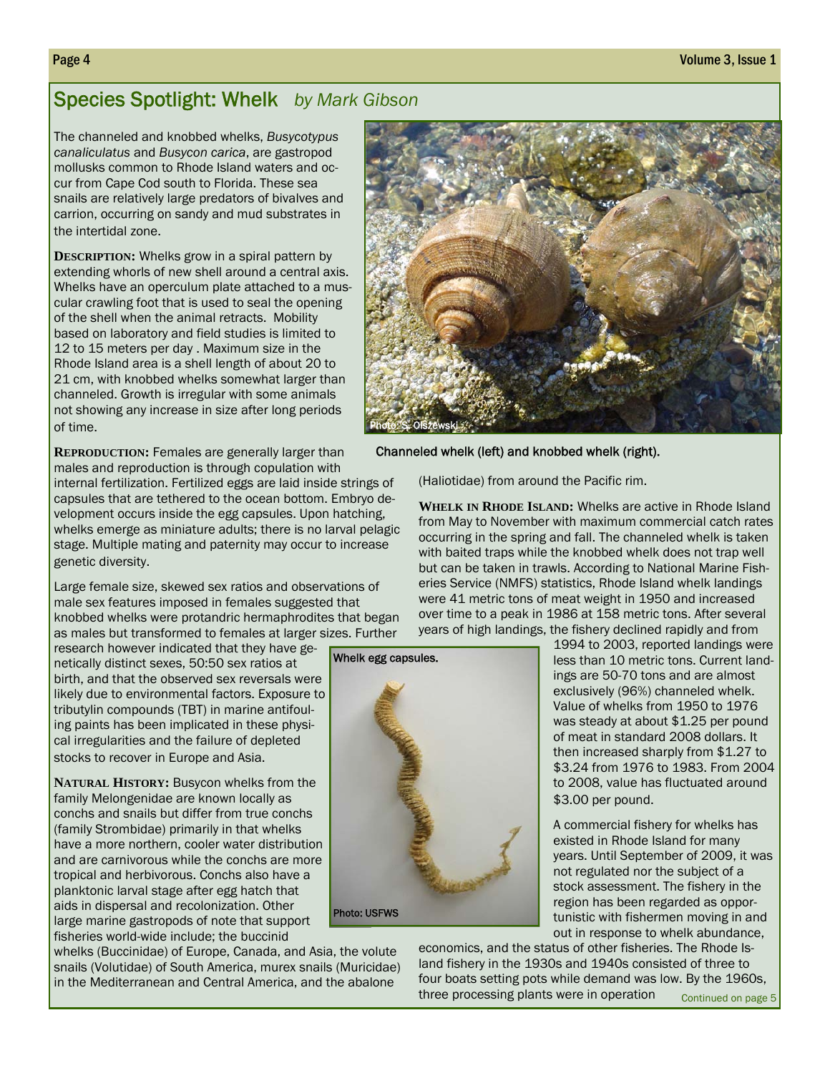## Species Spotlight: Whelk *by Mark Gibson*

The channeled and knobbed whelks, *Busycotypus canaliculatus* and *Busycon carica*, are gastropod mollusks common to Rhode Island waters and occur from Cape Cod south to Florida. These sea snails are relatively large predators of bivalves and carrion, occurring on sandy and mud substrates in the intertidal zone.

**DESCRIPTION:** Whelks grow in a spiral pattern by extending whorls of new shell around a central axis. Whelks have an operculum plate attached to a muscular crawling foot that is used to seal the opening of the shell when the animal retracts. Mobility based on laboratory and field studies is limited to 12 to 15 meters per day . Maximum size in the Rhode Island area is a shell length of about 20 to 21 cm, with knobbed whelks somewhat larger than channeled. Growth is irregular with some animals not showing any increase in size after long periods of time.

**REPRODUCTION:** Females are generally larger than males and reproduction is through copulation with

internal fertilization. Fertilized eggs are laid inside strings of capsules that are tethered to the ocean bottom. Embryo development occurs inside the egg capsules. Upon hatching, whelks emerge as miniature adults; there is no larval pelagic stage. Multiple mating and paternity may occur to increase genetic diversity.

Large female size, skewed sex ratios and observations of male sex features imposed in females suggested that knobbed whelks were protandric hermaphrodites that began as males but transformed to females at larger sizes. Further

Whelk egg capsules.

Photo: USFWS

research however indicated that they have genetically distinct sexes, 50:50 sex ratios at birth, and that the observed sex reversals were likely due to environmental factors. Exposure to tributylin compounds (TBT) in marine antifouling paints has been implicated in these physical irregularities and the failure of depleted stocks to recover in Europe and Asia.

**NATURAL HISTORY: Busycon whelks from the** family Melongenidae are known locally as conchs and snails but differ from true conchs (family Strombidae) primarily in that whelks have a more northern, cooler water distribution and are carnivorous while the conchs are more tropical and herbivorous. Conchs also have a planktonic larval stage after egg hatch that aids in dispersal and recolonization. Other large marine gastropods of note that support fisheries world-wide include; the buccinid

whelks (Buccinidae) of Europe, Canada, and Asia, the volute snails (Volutidae) of South America, murex snails (Muricidae) in the Mediterranean and Central America, and the abalone



Channeled whelk (left) and knobbed whelk (right).

(Haliotidae) from around the Pacific rim.

**WHELK IN RHODE ISLAND:** Whelks are active in Rhode Island from May to November with maximum commercial catch rates occurring in the spring and fall. The channeled whelk is taken with baited traps while the knobbed whelk does not trap well but can be taken in trawls. According to National Marine Fisheries Service (NMFS) statistics, Rhode Island whelk landings were 41 metric tons of meat weight in 1950 and increased over time to a peak in 1986 at 158 metric tons. After several years of high landings, the fishery declined rapidly and from

1994 to 2003, reported landings were less than 10 metric tons. Current landings are 50-70 tons and are almost exclusively (96%) channeled whelk. Value of whelks from 1950 to 1976 was steady at about \$1.25 per pound of meat in standard 2008 dollars. It then increased sharply from \$1.27 to \$3.24 from 1976 to 1983. From 2004 to 2008, value has fluctuated around \$3.00 per pound.

A commercial fishery for whelks has existed in Rhode Island for many years. Until September of 2009, it was not regulated nor the subject of a stock assessment. The fishery in the region has been regarded as opportunistic with fishermen moving in and out in response to whelk abundance,

economics, and the status of other fisheries. The Rhode Island fishery in the 1930s and 1940s consisted of three to four boats setting pots while demand was low. By the 1960s, three processing plants were in operation Continued on page 5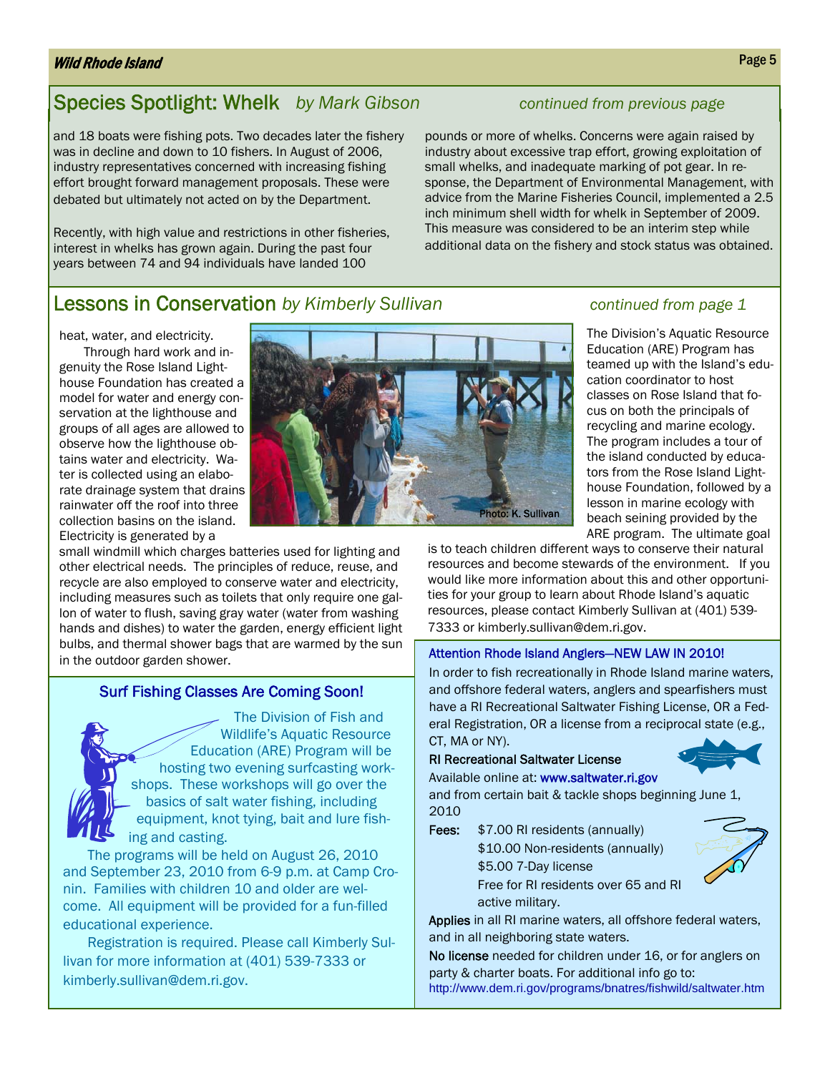#### Wild Rhode Island

## Species Spotlight: Whelk *by Mark Gibson continued from previous page*

and 18 boats were fishing pots. Two decades later the fishery was in decline and down to 10 fishers. In August of 2006, industry representatives concerned with increasing fishing effort brought forward management proposals. These were debated but ultimately not acted on by the Department.

Recently, with high value and restrictions in other fisheries, interest in whelks has grown again. During the past four years between 74 and 94 individuals have landed 100

pounds or more of whelks. Concerns were again raised by industry about excessive trap effort, growing exploitation of small whelks, and inadequate marking of pot gear. In response, the Department of Environmental Management, with advice from the Marine Fisheries Council, implemented a 2.5 inch minimum shell width for whelk in September of 2009. This measure was considered to be an interim step while additional data on the fishery and stock status was obtained.

#### **Lessons in Conservation** by Kimberly Sullivan **Conservation** continued from page 1

heat, water, and electricity.

Through hard work and ingenuity the Rose Island Lighthouse Foundation has created a model for water and energy conservation at the lighthouse and groups of all ages are allowed to observe how the lighthouse obtains water and electricity. Water is collected using an elaborate drainage system that drains rainwater off the roof into three collection basins on the island. Electricity is generated by a

small windmill which charges batteries used for lighting and other electrical needs. The principles of reduce, reuse, and recycle are also employed to conserve water and electricity, including measures such as toilets that only require one gallon of water to flush, saving gray water (water from washing hands and dishes) to water the garden, energy efficient light bulbs, and thermal shower bags that are warmed by the sun in the outdoor garden shower.

#### Surf Fishing Classes Are Coming Soon!

The Division of Fish and Wildlife's Aquatic Resource Education (ARE) Program will be hosting two evening surfcasting workshops. These workshops will go over the basics of salt water fishing, including equipment, knot tying, bait and lure fishing and casting.

The programs will be held on August 26, 2010 and September 23, 2010 from 6-9 p.m. at Camp Cronin. Families with children 10 and older are welcome. All equipment will be provided for a fun-filled educational experience.

Registration is required. Please call Kimberly Sullivan for more information at (401) 539-7333 or kimberly.sullivan@dem.ri.gov.



The Division's Aquatic Resource Education (ARE) Program has teamed up with the Island's education coordinator to host classes on Rose Island that focus on both the principals of recycling and marine ecology. The program includes a tour of the island conducted by educators from the Rose Island Lighthouse Foundation, followed by a lesson in marine ecology with beach seining provided by the ARE program. The ultimate goal

is to teach children different ways to conserve their natural resources and become stewards of the environment. If you would like more information about this and other opportunities for your group to learn about Rhode Island's aquatic resources, please contact Kimberly Sullivan at (401) 539- 7333 or kimberly.sullivan@dem.ri.gov.

#### Attention Rhode Island Anglers—NEW LAW IN 2010!

In order to fish recreationally in Rhode Island marine waters, and offshore federal waters, anglers and spearfishers must have a RI Recreational Saltwater Fishing License, OR a Federal Registration, OR a license from a reciprocal state (e.g., CT, MA or NY).

#### RI Recreational Saltwater License

#### Available online at: www.saltwater.ri.gov

and from certain bait & tackle shops beginning June 1, 2010

Fees:  $$7.00$  RI residents (annually) \$10.00 Non-residents (annually) \$5.00 7-Day license Free for RI residents over 65 and RI active military.

Applies in all RI marine waters, all offshore federal waters, and in all neighboring state waters.

No license needed for children under 16, or for anglers on party & charter boats. For additional info go to: http://www.dem.ri.gov/programs/bnatres/fishwild/saltwater.htm





Page 5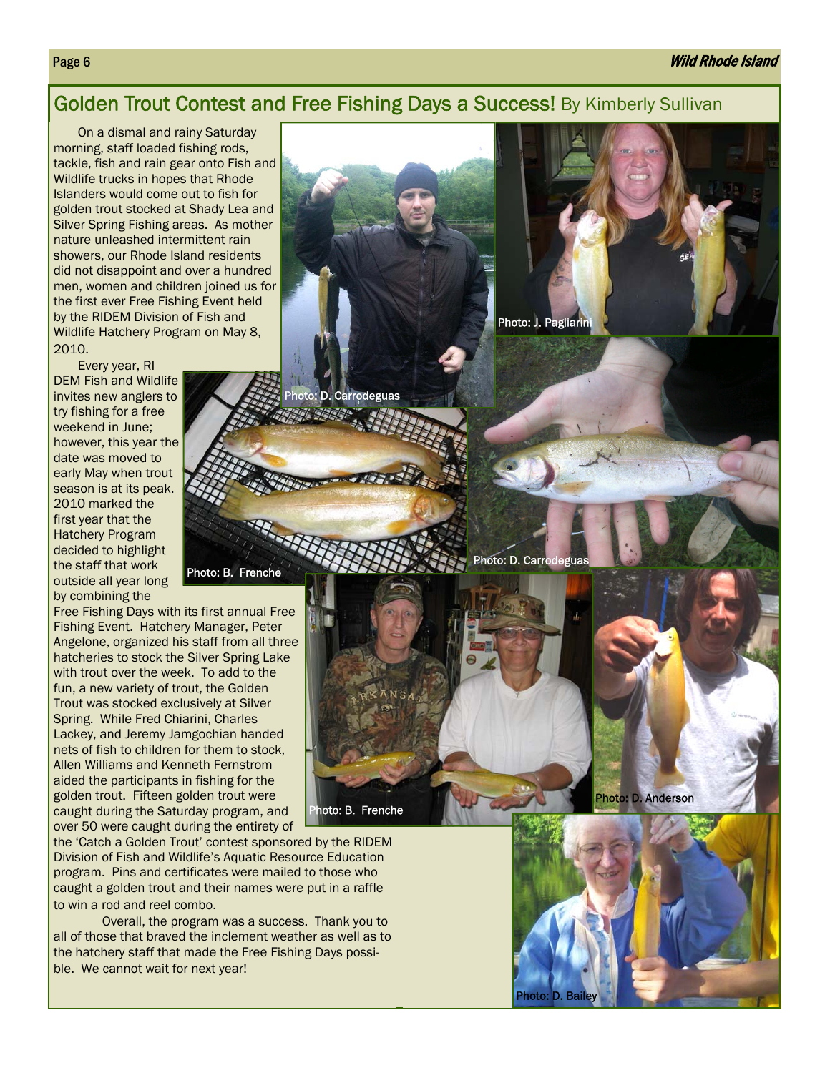#### Golden Trout Contest and Free Fishing Days a Success! By Kimberly Sullivan

Photo: D. Carrodeguas

On a dismal and rainy Saturday morning, staff loaded fishing rods, tackle, fish and rain gear onto Fish and Wildlife trucks in hopes that Rhode Islanders would come out to fish for golden trout stocked at Shady Lea and Silver Spring Fishing areas. As mother nature unleashed intermittent rain showers, our Rhode Island residents did not disappoint and over a hundred men, women and children joined us for the first ever Free Fishing Event held by the RIDEM Division of Fish and Wildlife Hatchery Program on May 8, 2010.

Every year, RI DEM Fish and Wildlife invites new anglers to try fishing for a free weekend in June; however, this year the date was moved to early May when trout season is at its peak. 2010 marked the first year that the Hatchery Program decided to highlight the staff that work outside all year long by combining the

Free Fishing Days with its first annual Free Fishing Event. Hatchery Manager, Peter Angelone, organized his staff from all three hatcheries to stock the Silver Spring Lake with trout over the week. To add to the fun, a new variety of trout, the Golden Trout was stocked exclusively at Silver Spring. While Fred Chiarini, Charles Lackey, and Jeremy Jamgochian handed nets of fish to children for them to stock, Allen Williams and Kenneth Fernstrom aided the participants in fishing for the golden trout. Fifteen golden trout were caught during the Saturday program, and over 50 were caught during the entirety of

the 'Catch a Golden Trout' contest sponsored by the RIDEM Division of Fish and Wildlife's Aquatic Resource Education program. Pins and certificates were mailed to those who caught a golden trout and their names were put in a raffle to win a rod and reel combo.

Photo: B. Frenche

 Overall, the program was a success. Thank you to all of those that braved the inclement weather as well as to the hatchery staff that made the Free Fishing Days possible. We cannot wait for next year!

Photo: J. Pagliarini

Photo: D. Carrode





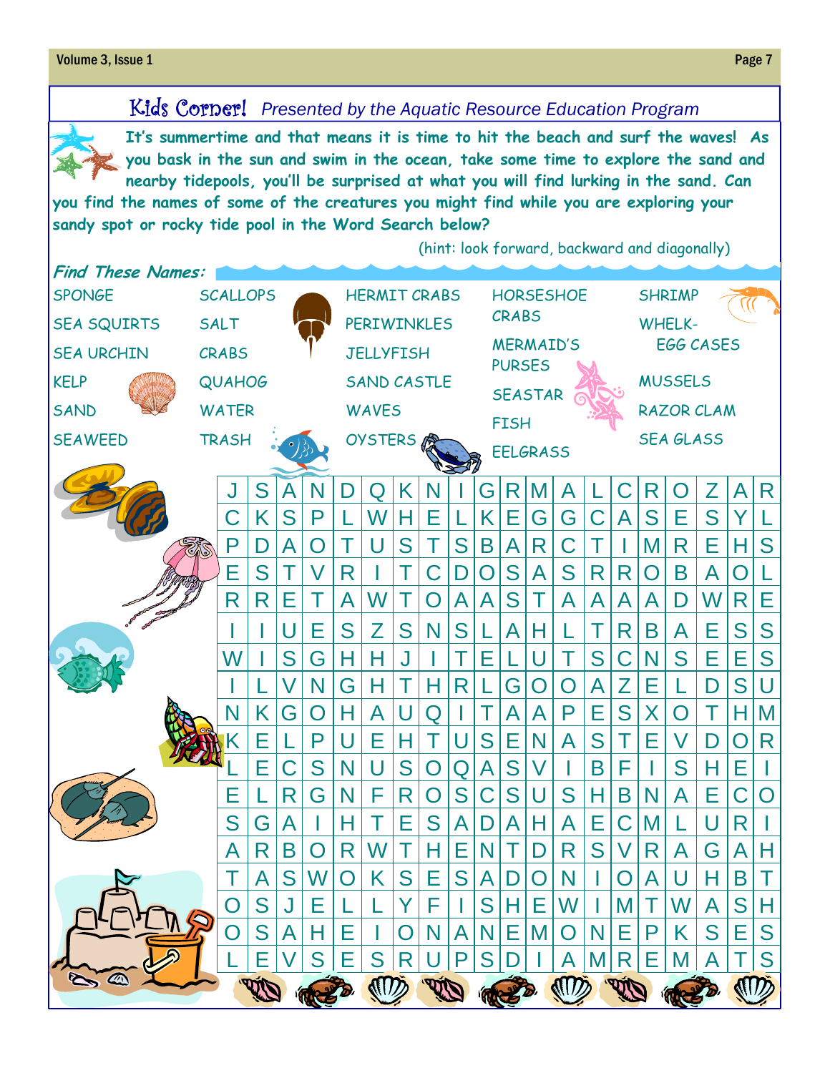#### **Volume 3, Issue 1** Page 7 **Page 7**

## Kids Corner! *Presented by the Aquatic Resource Education Program*



**It's summertime and that means it is time to hit the beach and surf the waves! As you bask in the sun and swim in the ocean, take some time to explore the sand and nearby tidepools, you'll be surprised at what you will find lurking in the sand. Can** 

**you find the names of some of the creatures you might find while you are exploring your sandy spot or rocky tide pool in the Word Search below?**